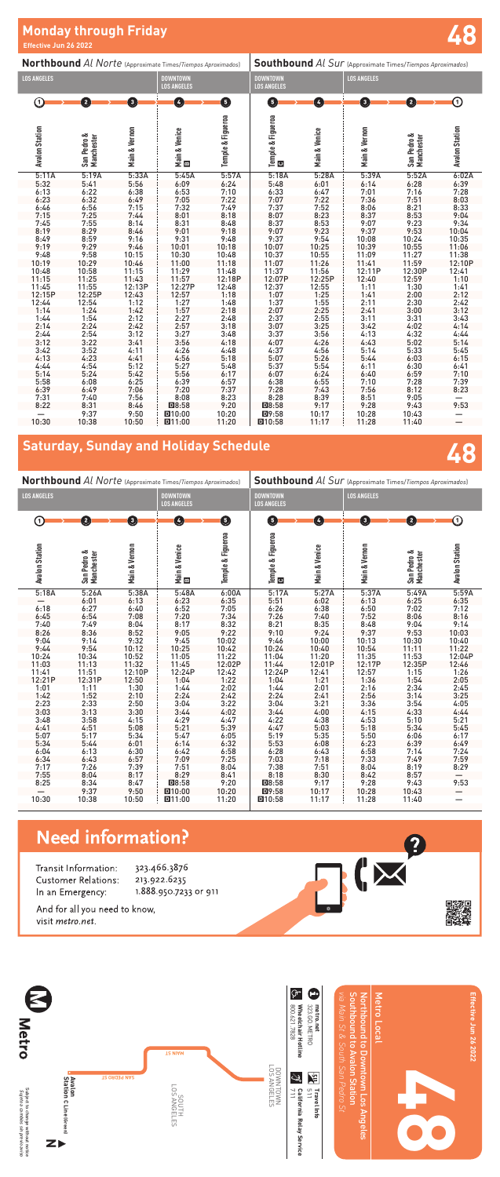| Northbound Al Norte (Approximate Times/Tiempos Aproximados) |                                                                                                                                                                                                                                               |                                                                                                                                                                                                                                     |                                                                                                                                                                                                                                   | <b>Southbound</b> Al Sur (Approximate Times/Tiempos Aproximados)                                                                                                                                                                                      |                                                                                                                                                                                                                                                                               |                                                                                                                                                                                                                                                    |                                                                                                                                                                                                                                                            |                                                                                                                                                                                                                              |
|-------------------------------------------------------------|-----------------------------------------------------------------------------------------------------------------------------------------------------------------------------------------------------------------------------------------------|-------------------------------------------------------------------------------------------------------------------------------------------------------------------------------------------------------------------------------------|-----------------------------------------------------------------------------------------------------------------------------------------------------------------------------------------------------------------------------------|-------------------------------------------------------------------------------------------------------------------------------------------------------------------------------------------------------------------------------------------------------|-------------------------------------------------------------------------------------------------------------------------------------------------------------------------------------------------------------------------------------------------------------------------------|----------------------------------------------------------------------------------------------------------------------------------------------------------------------------------------------------------------------------------------------------|------------------------------------------------------------------------------------------------------------------------------------------------------------------------------------------------------------------------------------------------------------|------------------------------------------------------------------------------------------------------------------------------------------------------------------------------------------------------------------------------|
|                                                             |                                                                                                                                                                                                                                               | <b>DOWNTOWN</b><br><b>LOS ANGELES</b>                                                                                                                                                                                               |                                                                                                                                                                                                                                   | <b>DOWNTOWN</b><br><b>LOS ANGELES</b>                                                                                                                                                                                                                 |                                                                                                                                                                                                                                                                               | <b>LOS ANGELES</b>                                                                                                                                                                                                                                 |                                                                                                                                                                                                                                                            |                                                                                                                                                                                                                              |
| $\mathbf{2}$                                                | 0                                                                                                                                                                                                                                             | Ø                                                                                                                                                                                                                                   | 0                                                                                                                                                                                                                                 | G                                                                                                                                                                                                                                                     | Ø                                                                                                                                                                                                                                                                             | $\mathbf{G}$                                                                                                                                                                                                                                       | 2                                                                                                                                                                                                                                                          | $\rm{O}$                                                                                                                                                                                                                     |
| San Pedro &<br>Manchester                                   | Main & Vernon                                                                                                                                                                                                                                 | Main & Venice<br>El                                                                                                                                                                                                                 |                                                                                                                                                                                                                                   |                                                                                                                                                                                                                                                       | Main & Venice                                                                                                                                                                                                                                                                 | Main & Vernon                                                                                                                                                                                                                                      | San Pedro &<br>Manchester                                                                                                                                                                                                                                  | <b>Avalon Station</b>                                                                                                                                                                                                        |
| 5:19A                                                       | 5:33A                                                                                                                                                                                                                                         | 5:45A                                                                                                                                                                                                                               | 5:57A                                                                                                                                                                                                                             | 5:18A                                                                                                                                                                                                                                                 | 5:28A                                                                                                                                                                                                                                                                         | 5:39A                                                                                                                                                                                                                                              | 5:52A                                                                                                                                                                                                                                                      | 6:02A                                                                                                                                                                                                                        |
|                                                             |                                                                                                                                                                                                                                               |                                                                                                                                                                                                                                     |                                                                                                                                                                                                                                   |                                                                                                                                                                                                                                                       |                                                                                                                                                                                                                                                                               |                                                                                                                                                                                                                                                    |                                                                                                                                                                                                                                                            | 6:39                                                                                                                                                                                                                         |
|                                                             |                                                                                                                                                                                                                                               |                                                                                                                                                                                                                                     |                                                                                                                                                                                                                                   |                                                                                                                                                                                                                                                       |                                                                                                                                                                                                                                                                               |                                                                                                                                                                                                                                                    |                                                                                                                                                                                                                                                            | 7:28                                                                                                                                                                                                                         |
|                                                             |                                                                                                                                                                                                                                               |                                                                                                                                                                                                                                     |                                                                                                                                                                                                                                   |                                                                                                                                                                                                                                                       |                                                                                                                                                                                                                                                                               |                                                                                                                                                                                                                                                    |                                                                                                                                                                                                                                                            | 8:03                                                                                                                                                                                                                         |
|                                                             |                                                                                                                                                                                                                                               |                                                                                                                                                                                                                                     |                                                                                                                                                                                                                                   |                                                                                                                                                                                                                                                       |                                                                                                                                                                                                                                                                               |                                                                                                                                                                                                                                                    |                                                                                                                                                                                                                                                            | 8:33                                                                                                                                                                                                                         |
|                                                             |                                                                                                                                                                                                                                               |                                                                                                                                                                                                                                     |                                                                                                                                                                                                                                   |                                                                                                                                                                                                                                                       |                                                                                                                                                                                                                                                                               |                                                                                                                                                                                                                                                    |                                                                                                                                                                                                                                                            | 9:04                                                                                                                                                                                                                         |
|                                                             |                                                                                                                                                                                                                                               |                                                                                                                                                                                                                                     |                                                                                                                                                                                                                                   |                                                                                                                                                                                                                                                       |                                                                                                                                                                                                                                                                               |                                                                                                                                                                                                                                                    |                                                                                                                                                                                                                                                            | 9:34                                                                                                                                                                                                                         |
|                                                             |                                                                                                                                                                                                                                               |                                                                                                                                                                                                                                     |                                                                                                                                                                                                                                   |                                                                                                                                                                                                                                                       |                                                                                                                                                                                                                                                                               |                                                                                                                                                                                                                                                    |                                                                                                                                                                                                                                                            | 10:04                                                                                                                                                                                                                        |
|                                                             |                                                                                                                                                                                                                                               |                                                                                                                                                                                                                                     |                                                                                                                                                                                                                                   |                                                                                                                                                                                                                                                       |                                                                                                                                                                                                                                                                               |                                                                                                                                                                                                                                                    |                                                                                                                                                                                                                                                            | 10:35                                                                                                                                                                                                                        |
|                                                             |                                                                                                                                                                                                                                               |                                                                                                                                                                                                                                     |                                                                                                                                                                                                                                   |                                                                                                                                                                                                                                                       |                                                                                                                                                                                                                                                                               |                                                                                                                                                                                                                                                    |                                                                                                                                                                                                                                                            | 11:06                                                                                                                                                                                                                        |
|                                                             |                                                                                                                                                                                                                                               |                                                                                                                                                                                                                                     |                                                                                                                                                                                                                                   |                                                                                                                                                                                                                                                       |                                                                                                                                                                                                                                                                               |                                                                                                                                                                                                                                                    |                                                                                                                                                                                                                                                            | 11:38                                                                                                                                                                                                                        |
|                                                             |                                                                                                                                                                                                                                               |                                                                                                                                                                                                                                     |                                                                                                                                                                                                                                   |                                                                                                                                                                                                                                                       |                                                                                                                                                                                                                                                                               |                                                                                                                                                                                                                                                    |                                                                                                                                                                                                                                                            | 12:10P                                                                                                                                                                                                                       |
|                                                             |                                                                                                                                                                                                                                               |                                                                                                                                                                                                                                     |                                                                                                                                                                                                                                   |                                                                                                                                                                                                                                                       |                                                                                                                                                                                                                                                                               |                                                                                                                                                                                                                                                    |                                                                                                                                                                                                                                                            | 12:41                                                                                                                                                                                                                        |
|                                                             |                                                                                                                                                                                                                                               |                                                                                                                                                                                                                                     |                                                                                                                                                                                                                                   |                                                                                                                                                                                                                                                       |                                                                                                                                                                                                                                                                               |                                                                                                                                                                                                                                                    |                                                                                                                                                                                                                                                            | 1:10                                                                                                                                                                                                                         |
|                                                             |                                                                                                                                                                                                                                               |                                                                                                                                                                                                                                     |                                                                                                                                                                                                                                   |                                                                                                                                                                                                                                                       |                                                                                                                                                                                                                                                                               |                                                                                                                                                                                                                                                    |                                                                                                                                                                                                                                                            | 1:41                                                                                                                                                                                                                         |
|                                                             |                                                                                                                                                                                                                                               |                                                                                                                                                                                                                                     |                                                                                                                                                                                                                                   |                                                                                                                                                                                                                                                       |                                                                                                                                                                                                                                                                               |                                                                                                                                                                                                                                                    |                                                                                                                                                                                                                                                            | 2:12                                                                                                                                                                                                                         |
|                                                             |                                                                                                                                                                                                                                               |                                                                                                                                                                                                                                     |                                                                                                                                                                                                                                   |                                                                                                                                                                                                                                                       |                                                                                                                                                                                                                                                                               |                                                                                                                                                                                                                                                    |                                                                                                                                                                                                                                                            | 2:42                                                                                                                                                                                                                         |
|                                                             |                                                                                                                                                                                                                                               |                                                                                                                                                                                                                                     |                                                                                                                                                                                                                                   |                                                                                                                                                                                                                                                       |                                                                                                                                                                                                                                                                               |                                                                                                                                                                                                                                                    |                                                                                                                                                                                                                                                            | 3:12                                                                                                                                                                                                                         |
|                                                             |                                                                                                                                                                                                                                               |                                                                                                                                                                                                                                     |                                                                                                                                                                                                                                   |                                                                                                                                                                                                                                                       |                                                                                                                                                                                                                                                                               |                                                                                                                                                                                                                                                    |                                                                                                                                                                                                                                                            | 3:43                                                                                                                                                                                                                         |
|                                                             |                                                                                                                                                                                                                                               |                                                                                                                                                                                                                                     |                                                                                                                                                                                                                                   |                                                                                                                                                                                                                                                       |                                                                                                                                                                                                                                                                               |                                                                                                                                                                                                                                                    |                                                                                                                                                                                                                                                            | 4:14                                                                                                                                                                                                                         |
|                                                             |                                                                                                                                                                                                                                               |                                                                                                                                                                                                                                     |                                                                                                                                                                                                                                   |                                                                                                                                                                                                                                                       |                                                                                                                                                                                                                                                                               |                                                                                                                                                                                                                                                    |                                                                                                                                                                                                                                                            | 4:44                                                                                                                                                                                                                         |
|                                                             |                                                                                                                                                                                                                                               |                                                                                                                                                                                                                                     |                                                                                                                                                                                                                                   |                                                                                                                                                                                                                                                       |                                                                                                                                                                                                                                                                               |                                                                                                                                                                                                                                                    |                                                                                                                                                                                                                                                            | 5:14                                                                                                                                                                                                                         |
|                                                             | 4:11                                                                                                                                                                                                                                          | 4:26                                                                                                                                                                                                                                | 4:48                                                                                                                                                                                                                              | 4:37                                                                                                                                                                                                                                                  |                                                                                                                                                                                                                                                                               |                                                                                                                                                                                                                                                    | 5:33                                                                                                                                                                                                                                                       | 5:45                                                                                                                                                                                                                         |
|                                                             |                                                                                                                                                                                                                                               |                                                                                                                                                                                                                                     | 5:18                                                                                                                                                                                                                              | 5:07                                                                                                                                                                                                                                                  |                                                                                                                                                                                                                                                                               |                                                                                                                                                                                                                                                    |                                                                                                                                                                                                                                                            | 6:15                                                                                                                                                                                                                         |
| 4:54                                                        | 5:12                                                                                                                                                                                                                                          | 5:27                                                                                                                                                                                                                                |                                                                                                                                                                                                                                   |                                                                                                                                                                                                                                                       |                                                                                                                                                                                                                                                                               |                                                                                                                                                                                                                                                    | 6:30                                                                                                                                                                                                                                                       | 6:41                                                                                                                                                                                                                         |
|                                                             |                                                                                                                                                                                                                                               |                                                                                                                                                                                                                                     |                                                                                                                                                                                                                                   |                                                                                                                                                                                                                                                       |                                                                                                                                                                                                                                                                               |                                                                                                                                                                                                                                                    |                                                                                                                                                                                                                                                            | 7:10                                                                                                                                                                                                                         |
|                                                             |                                                                                                                                                                                                                                               |                                                                                                                                                                                                                                     |                                                                                                                                                                                                                                   |                                                                                                                                                                                                                                                       |                                                                                                                                                                                                                                                                               |                                                                                                                                                                                                                                                    | 7:28                                                                                                                                                                                                                                                       | 7:39                                                                                                                                                                                                                         |
| 6:49                                                        | 7:06                                                                                                                                                                                                                                          | 7:20                                                                                                                                                                                                                                | 7:37                                                                                                                                                                                                                              | 7:28                                                                                                                                                                                                                                                  | 7:43                                                                                                                                                                                                                                                                          | 7:56                                                                                                                                                                                                                                               | 8:12                                                                                                                                                                                                                                                       | 8:23                                                                                                                                                                                                                         |
|                                                             |                                                                                                                                                                                                                                               |                                                                                                                                                                                                                                     |                                                                                                                                                                                                                                   |                                                                                                                                                                                                                                                       |                                                                                                                                                                                                                                                                               |                                                                                                                                                                                                                                                    |                                                                                                                                                                                                                                                            |                                                                                                                                                                                                                              |
|                                                             |                                                                                                                                                                                                                                               |                                                                                                                                                                                                                                     |                                                                                                                                                                                                                                   |                                                                                                                                                                                                                                                       |                                                                                                                                                                                                                                                                               |                                                                                                                                                                                                                                                    |                                                                                                                                                                                                                                                            | 9:53                                                                                                                                                                                                                         |
|                                                             |                                                                                                                                                                                                                                               |                                                                                                                                                                                                                                     |                                                                                                                                                                                                                                   |                                                                                                                                                                                                                                                       |                                                                                                                                                                                                                                                                               |                                                                                                                                                                                                                                                    |                                                                                                                                                                                                                                                            |                                                                                                                                                                                                                              |
| 10:38                                                       | 10:50                                                                                                                                                                                                                                         | D11:00                                                                                                                                                                                                                              | 11:20                                                                                                                                                                                                                             | D10:58                                                                                                                                                                                                                                                | 11:17                                                                                                                                                                                                                                                                         | 11:28                                                                                                                                                                                                                                              | 11:40                                                                                                                                                                                                                                                      |                                                                                                                                                                                                                              |
|                                                             | 5:41<br>$6:22$<br>$6:32$<br>6:56<br>7:25<br>7:55<br>8:29<br>$8:59$<br>9:29<br>9:58<br>10:29<br>10:58<br>11:25<br>11:55<br>12:25P<br>12:54<br>1:24<br>1:54<br>2:24<br>$2:54$<br>$3:22$<br>3:52<br>4:23<br>5:24<br>6:08<br>7:40<br>8:31<br>9:37 | 5:56<br>$6:38$<br>$6:49$<br>7:15<br>7:44<br>8:14<br>8:46<br>9:16<br>9:46<br>10:15<br>10:46<br>11:15<br>11:43<br>12:13P<br>12:43<br>1:12<br>$1:42$<br>$2:12$<br>2:42<br>3:12<br>3:41<br>4:41<br>5:42<br>6:25<br>7:56<br>8:46<br>9:50 | 6:09<br>6:53<br>7:05<br>7:32<br>8:01<br>8:31<br>9:01<br>9:31<br>10:01<br>10:30<br>11:00<br>11:29<br>11:57<br>12:27P<br>12:57<br>1:27<br>1:57<br>2:27<br>2:57<br>3:27<br>3:56<br>4:56<br>5:56<br>6:39<br>8:08<br>$DB:58$<br>D10:00 | Temple & Figueroa<br>6:24<br>$7:10$<br>$7:22$<br>7:49<br>8:18<br>8:48<br>9:18<br>9:48<br>10:18<br>10:48<br>11:18<br>11:48<br>12:18P<br>12:48<br>1:18<br>1:48<br>2:18<br>2:48<br>3:18<br>3:48<br>4:18<br>5:48<br>6:17<br>6:57<br>8:23<br>9:20<br>10:20 | Temple & Figueroa<br><b>Ca</b><br>5:48<br>$6:33$<br>$7:07$<br>7:37<br>8:07<br>8:37<br>9:07<br>9:37<br>10:07<br>10:37<br>11:07<br>11:37<br>12:07P<br>12:37<br>1:07<br>1:37<br>$2:07$<br>$2:37$<br>3:07<br>$3:37$<br>$4:07$<br>5:37<br>6:07<br>6:38<br>8:28<br>$DB:58$<br>D9:58 | 6:01<br>$6:47$<br>$7:22$<br>7:52<br>8:23<br>8:53<br>9:23<br>9:54<br>10:25<br>10:55<br>11:26<br>11:56<br>12:25P<br>12:55<br>1:25<br>1:55<br>2:25<br>2:55<br>3:25<br>$3:56$<br>4:26<br>4:56<br>5:26<br>5:54<br>6:24<br>6:55<br>8:39<br>9:17<br>10:17 | 6:14<br>$7:01$<br>$7:36$<br>8:06<br>8:37<br>9:07<br>9:37<br>10:08<br>10:39<br>11:09<br>11:41<br>12:11P<br>12:40<br>1:11<br>1:41<br>2:11<br>$2:41$<br>$3:11$<br>3:42<br>$4:13$<br>$4:43$<br>5:14<br>5:44<br>6:11<br>6:40<br>7:10<br>$8:51$<br>9:28<br>10:28 | 6:28<br>$7:16$<br>$7:51$<br>8:21<br>8:53<br>9:23<br>9:53<br>10:24<br>10:55<br>11:27<br>11:59<br>12:30P<br>12:59<br>1:30<br>2:00<br>2:30<br>3:00<br>3:31<br>4:02<br>4:32<br>5:02<br>6:03<br>6:59<br>$9:05$<br>$9:43$<br>10:43 |

**Northbound** *Al Norte* (Approximate Times/*Tiempos Aproximados*) **Southbound** *Al Sur* (Approximate Times/*Tiempos Aproximados*) **LOS ANGELES LOS ANGELES LOS ANGELES DOWNTOWN LOS ANGELES**  $0$   $\longrightarrow$   $0$   $\longrightarrow$   $0$   $\longrightarrow$   $0$   $\longrightarrow$   $0$   $\longrightarrow$   $0$   $\longrightarrow$   $0$   $\longrightarrow$   $0$ Temple & Figueroa **Temple & Figueroa Temple & Figueroa Avalon Station Avalon Station** Main & Vernon **Main & Venice**  Main & Vernon **Avalon Station Avalon Station** San Pedro &<br>Manchester **Main & Vernon Main & Venice Main & Venice Main & Vernon** San Pedro &<br>Manchester **San Pedro & San Pedro & Manchester Manchester** B  $\circ$ 5:17A 5:27A 5:37A 5:49A 5:59A 5:18A 5:26A 5:38A 5:48A 6:00A — 6:01 6:13 6:23 6:35 5:51 6:02 6:13 6:25 6:35 6:18 6:27 6:40 6:52 7:05 6:26 6:38 6:50 7:02 7:12 6:45 6:54 7:08 7:20 7:34 7:26 7:40 7:52 8:06 8:16 7:40 7:49 8:04 8:17 8:32 8:21 8:35 8:48 9:04 9:14 8:26 8:36 8:52 9:05 9:22 9:10 9:24 9:37 9:53 10:03 9:46 10:00 10:13 10:30 10:40<br>10:24 10:40 10:54 11:11 11:22<br>11:04 11:20 11:35 11:53 12:04 9:04 9:14 9:32 9:45 10:02 9:44 9:54 10:12 10:25 10:42 10:24 10:40 10:54 11:11 11:22 11:04 11:20 11:35 11:53 12:04P 10:24 10:34 10:52 11:05 11:22 11:03 11:13 11:32 11:45 12:02P 11:44 12:01P 12:17P 12:35P 12:46  $\begin{array}{cccccc} 11:41 & & 11:51 & & 12:10P & & 12:24P & & 12:42 \ 12:21P & & 12:31P & & 12:50 & & 1:04 & & 1:22 \ 1:01 & & 1:11 & & 1:30 & & 1:44 & & 2:02 \ 1:42 & & 1:52 & & 2:10 & & 2:24 & & 2:42 \ 2:23 & & 2:33 & & 2:50 & & 3:04 & & 3:22 \ \end{array}$ 12:24P 12:41 12:57 1:15 1:26<br>1:04 1:21 1:36 1:54 2:05 11:41 11:51 12:10P 12:24P 12:42 1:04 1:21 1:36 1:54 2:05 1:01 1:11 1:30 1:44 2:02 1:44 2:01 2:16 2:34 2:45 1:42 1:52 2:10 2:24 2:42 2:24 2:41 2:56 3:14 3:25 2:23 2:33 2:50 3:04 3:22 3:04 3:21 3:36 3:54 4:05 3:03 3:13 3:30 3:44 4:02 3:44 4:00 4:15 4:33 4:44 3:48 3:58 4:15 4:29 4:47 4:22 4:38 4:53 5:10 5:21 4:41 4:51 5:08 5:21 5:39 4:47 5:03 5:18 5:34 5:45 5:07 5:17 5:34 5:47 6:05 5:19 5:35 5:50 6:06 6:17 5:34 5:44 6:01 6:14 6:32 5:53 6:08 6:23 6:39 6:49 6:04 6:13 6:30 6:42 6:58 6:28 6:43 6:58 7:14 7:24 6:34 6:43 6:57 7:09 7:25 7:03 7:18 7:33 7:49 7:59 7:17 7:26 7:39 7:51 8:04 7:38 7:51 8:04 8:19 8:29 7:55 8:04 8:17 8:29 8:41 8:18 8:30 8:42 8:57 —  $\begin{array}{ccccccccc}\n8:25 & & 8:34 & & 8:47 & & \boxed{108:58} & & 9:20 \\
&-& & 9:37 & & 9:50 & & \boxed{10:00} & & 10:20 \\
10:30 & & 10:38 & & 10:50 & & \boxed{11:00} & & 11:20\n\end{array}$ 8:25 8:34 8:47 D8:58 9:20 D8:58 9:17 9:28 9:43 9:53 D9:58 10:17 10:28 10:43 — י 10:58 10:17 10:28 10:43 —<br>◘ 10:58 11:17 11:28 11:40 — **D11:00** 

### **Need information?**

Transit Information:



## **48 Saturday, Sunday and Holiday Schedule**